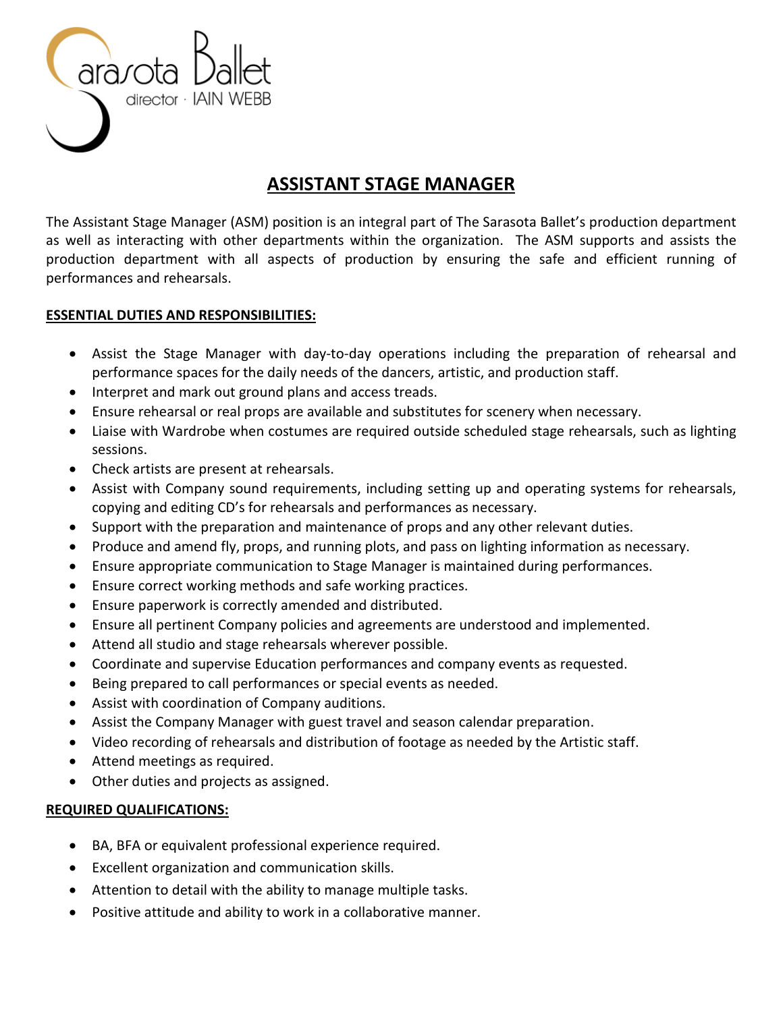

# **ASSISTANT STAGE MANAGER**

The Assistant Stage Manager (ASM) position is an integral part of The Sarasota Ballet's production department as well as interacting with other departments within the organization. The ASM supports and assists the production department with all aspects of production by ensuring the safe and efficient running of performances and rehearsals.

## **ESSENTIAL DUTIES AND RESPONSIBILITIES:**

- Assist the Stage Manager with day-to-day operations including the preparation of rehearsal and performance spaces for the daily needs of the dancers, artistic, and production staff.
- Interpret and mark out ground plans and access treads.
- Ensure rehearsal or real props are available and substitutes for scenery when necessary.
- Liaise with Wardrobe when costumes are required outside scheduled stage rehearsals, such as lighting sessions.
- Check artists are present at rehearsals.
- Assist with Company sound requirements, including setting up and operating systems for rehearsals, copying and editing CD's for rehearsals and performances as necessary.
- Support with the preparation and maintenance of props and any other relevant duties.
- Produce and amend fly, props, and running plots, and pass on lighting information as necessary.
- Ensure appropriate communication to Stage Manager is maintained during performances.
- Ensure correct working methods and safe working practices.
- Ensure paperwork is correctly amended and distributed.
- Ensure all pertinent Company policies and agreements are understood and implemented.
- Attend all studio and stage rehearsals wherever possible.
- Coordinate and supervise Education performances and company events as requested.
- Being prepared to call performances or special events as needed.
- Assist with coordination of Company auditions.
- Assist the Company Manager with guest travel and season calendar preparation.
- Video recording of rehearsals and distribution of footage as needed by the Artistic staff.
- Attend meetings as required.
- Other duties and projects as assigned.

## **REQUIRED QUALIFICATIONS:**

- BA, BFA or equivalent professional experience required.
- Excellent organization and communication skills.
- Attention to detail with the ability to manage multiple tasks.
- Positive attitude and ability to work in a collaborative manner.